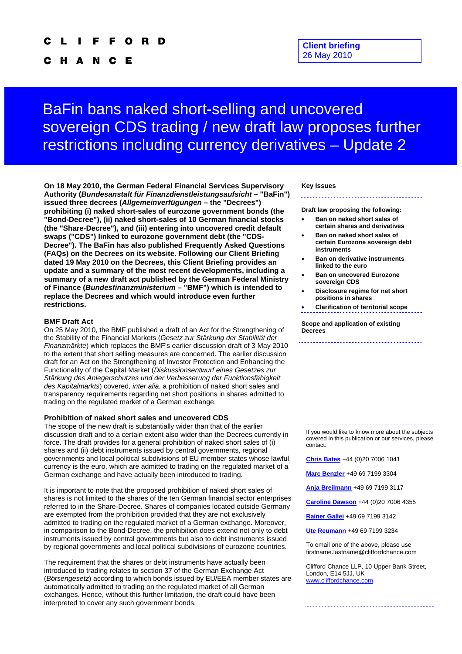#### Ω R

H A N Е

BaFin bans naked short-selling and uncovered sovereign CDS trading / new draft law proposes further restrictions including currency derivatives – Update 2

**On 18 May 2010, the German Federal Financial Services Supervisory Authority (***Bundesanstalt für Finanzdienstleistungsaufsicht* **– "BaFin") issued three decrees (***Allgemeinverfügungen* **– the "Decrees") prohibiting (i) naked short-sales of eurozone government bonds (the "Bond-Decree"), (ii) naked short-sales of 10 German financial stocks (the "Share-Decree"), and (iii) entering into uncovered credit default swaps ("CDS") linked to eurozone government debt (the "CDS-Decree"). The BaFin has also published Frequently Asked Questions (FAQs) on the Decrees on its website. Following our Client Briefing dated 19 May 2010 on the Decrees, this Client Briefing provides an update and a summary of the most recent developments, including a summary of a new draft act published by the German Federal Ministry of Finance (***Bundesfinanzministerium* **– "BMF") which is intended to replace the Decrees and which would introduce even further restrictions.** 

# **BMF Draft Act**

On 25 May 2010, the BMF published a draft of an Act for the Strengthening of the Stability of the Financial Markets (*Gesetz zur Stärkung der Stabilität der Finanzmärkte*) which replaces the BMF's earlier discussion draft of 3 May 2010 to the extent that short selling measures are concerned. The earlier discussion draft for an Act on the Strengthening of Investor Protection and Enhancing the Functionality of the Capital Market (*Diskussionsentwurf eines Gesetzes zur Stärkung des Anlegerschutzes und der Verbesserung der Funktionsfähigkeit des Kapitalmarkts*) covered, *inter alia*, a prohibition of naked short sales and transparency requirements regarding net short positions in shares admitted to trading on the regulated market of a German exchange.

### **Prohibition of naked short sales and uncovered CDS**

The scope of the new draft is substantially wider than that of the earlier discussion draft and to a certain extent also wider than the Decrees currently in force. The draft provides for a general prohibition of naked short sales of (i) shares and (ii) debt instruments issued by central governments, regional governments and local political subdivisions of EU member states whose lawful currency is the euro, which are admitted to trading on the regulated market of a German exchange and have actually been introduced to trading.

It is important to note that the proposed prohibition of naked short sales of shares is not limited to the shares of the ten German financial sector enterprises referred to in the Share-Decree. Shares of companies located outside Germany are exempted from the prohibition provided that they are not exclusively admitted to trading on the regulated market of a German exchange. Moreover, in comparison to the Bond-Decree, the prohibition does extend not only to debt instruments issued by central governments but also to debt instruments issued by regional governments and local political subdivisions of eurozone countries.

The requirement that the shares or debt instruments have actually been introduced to trading relates to section 37 of the German Exchange Act (*Börsengesetz*) according to which bonds issued by EU/EEA member states are automatically admitted to trading on the regulated market of all German exchanges. Hence, without this further limitation, the draft could have been interpreted to cover any such government bonds.

#### **Key Issues**

**Draft law proposing the following:** 

- **Ban on naked short sales of certain shares and derivatives**
- **Ban on naked short sales of certain Eurozone sovereign debt instruments**
- **Ban on derivative instruments linked to the euro**
- **Ban on uncovered Eurozone sovereign CDS**
- **Disclosure regime for net short positions in shares**
- **Clarification of territorial scope**

**Scope and application of existing Decrees** 

If you would like to know more about the subjects covered in this publication or our services, please contact:

**[Chris Bates](mailto:Chris.Bates@cliffordchance.com)** +44 (0)20 7006 1041

**[Marc Benzler](mailto:Marc.Benzler@cliffordchance.com)** +49 69 7199 3304

**[Anja Breilmann](mailto:Anja.Breilmann@CliffordChance.com)** +49 69 7199 3117

**[Caroline Dawson](mailto:Caroline.Dawson@cliffordchance.com)** +44 (0)20 7006 4355

**[Rainer Gallei](mailto:rainer.gallei@cliffordchance.com)** +49 69 7199 3142

**[Ute Reumann](mailto:Ute.Reumann@cliffordchance.com)** +49 69 7199 3234

To email one of the above, please use firstname.lastname@cliffordchance.com

Clifford Chance LLP, 10 Upper Bank Street, London, E14 5JJ, UK [www.cliffordchance.com](http://www.cliffordchance.com/)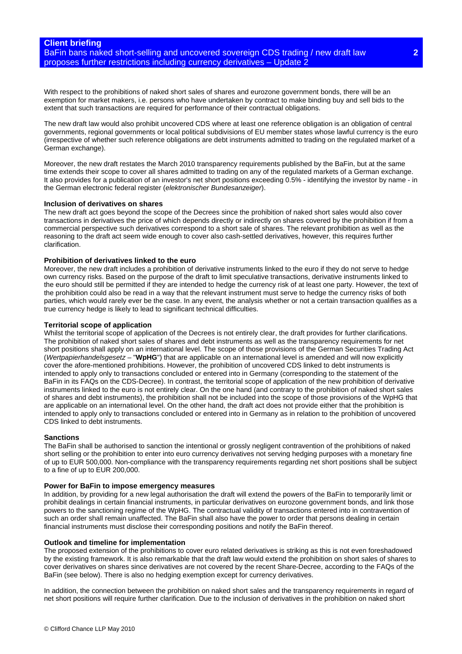# **Client briefing**  BaFin bans naked short-selling and uncovered sovereign CDS trading / new draft law proposes further restrictions including currency derivatives – Update 2

With respect to the prohibitions of naked short sales of shares and eurozone government bonds, there will be an exemption for market makers, i.e. persons who have undertaken by contract to make binding buy and sell bids to the extent that such transactions are required for performance of their contractual obligations.

The new draft law would also prohibit uncovered CDS where at least one reference obligation is an obligation of central governments, regional governments or local political subdivisions of EU member states whose lawful currency is the euro (irrespective of whether such reference obligations are debt instruments admitted to trading on the regulated market of a German exchange).

Moreover, the new draft restates the March 2010 transparency requirements published by the BaFin, but at the same time extends their scope to cover all shares admitted to trading on any of the regulated markets of a German exchange. It also provides for a publication of an investor's net short positions exceeding 0.5% - identifying the investor by name - in the German electronic federal register (*elektronischer Bundesanzeiger*).

# **Inclusion of derivatives on shares**

The new draft act goes beyond the scope of the Decrees since the prohibition of naked short sales would also cover transactions in derivatives the price of which depends directly or indirectly on shares covered by the prohibition if from a commercial perspective such derivatives correspond to a short sale of shares. The relevant prohibition as well as the reasoning to the draft act seem wide enough to cover also cash-settled derivatives, however, this requires further clarification.

# **Prohibition of derivatives linked to the euro**

Moreover, the new draft includes a prohibition of derivative instruments linked to the euro if they do not serve to hedge own currency risks. Based on the purpose of the draft to limit speculative transactions, derivative instruments linked to the euro should still be permitted if they are intended to hedge the currency risk of at least one party. However, the text of the prohibition could also be read in a way that the relevant instrument must serve to hedge the currency risks of both parties, which would rarely ever be the case. In any event, the analysis whether or not a certain transaction qualifies as a true currency hedge is likely to lead to significant technical difficulties.

# **Territorial scope of application**

Whilst the territorial scope of application of the Decrees is not entirely clear, the draft provides for further clarifications. The prohibition of naked short sales of shares and debt instruments as well as the transparency requirements for net short positions shall apply on an international level. The scope of those provisions of the German Securities Trading Act (*Wertpapierhandelsgesetz* – "**WpHG**") that are applicable on an international level is amended and will now explicitly cover the afore-mentioned prohibitions. However, the prohibition of uncovered CDS linked to debt instruments is intended to apply only to transactions concluded or entered into in Germany (corresponding to the statement of the BaFin in its FAQs on the CDS-Decree). In contrast, the territorial scope of application of the new prohibition of derivative instruments linked to the euro is not entirely clear. On the one hand (and contrary to the prohibition of naked short sales of shares and debt instruments), the prohibition shall not be included into the scope of those provisions of the WpHG that are applicable on an international level. On the other hand, the draft act does not provide either that the prohibition is intended to apply only to transactions concluded or entered into in Germany as in relation to the prohibition of uncovered CDS linked to debt instruments.

### **Sanctions**

The BaFin shall be authorised to sanction the intentional or grossly negligent contravention of the prohibitions of naked short selling or the prohibition to enter into euro currency derivatives not serving hedging purposes with a monetary fine of up to EUR 500,000. Non-compliance with the transparency requirements regarding net short positions shall be subject to a fine of up to EUR 200,000.

# **Power for BaFin to impose emergency measures**

In addition, by providing for a new legal authorisation the draft will extend the powers of the BaFin to temporarily limit or prohibit dealings in certain financial instruments, in particular derivatives on eurozone government bonds, and link those powers to the sanctioning regime of the WpHG. The contractual validity of transactions entered into in contravention of such an order shall remain unaffected. The BaFin shall also have the power to order that persons dealing in certain financial instruments must disclose their corresponding positions and notify the BaFin thereof.

### **Outlook and timeline for implementation**

The proposed extension of the prohibitions to cover euro related derivatives is striking as this is not even foreshadowed by the existing framework. It is also remarkable that the draft law would extend the prohibition on short sales of shares to cover derivatives on shares since derivatives are not covered by the recent Share-Decree, according to the FAQs of the BaFin (see below). There is also no hedging exemption except for currency derivatives.

In addition, the connection between the prohibition on naked short sales and the transparency requirements in regard of net short positions will require further clarification. Due to the inclusion of derivatives in the prohibition on naked short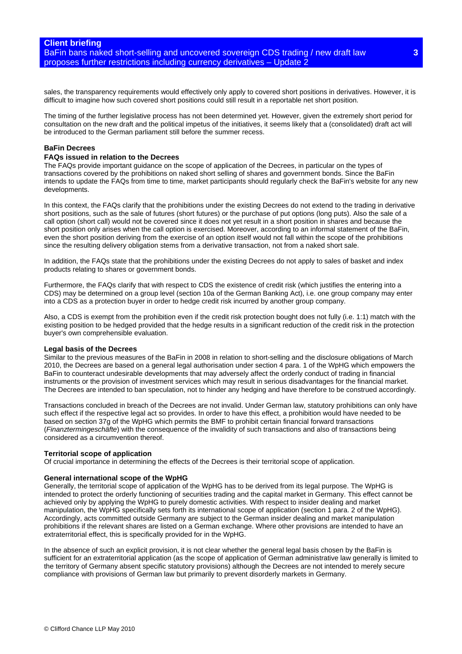sales, the transparency requirements would effectively only apply to covered short positions in derivatives. However, it is difficult to imagine how such covered short positions could still result in a reportable net short position.

The timing of the further legislative process has not been determined yet. However, given the extremely short period for consultation on the new draft and the political impetus of the initiatives, it seems likely that a (consolidated) draft act will be introduced to the German parliament still before the summer recess.

# **BaFin Decrees**

# **F AQs issued in relation to the Decrees**

The FAQs provide important guidance on the scope of application of the Decrees, in particular on the types of transactions covered by the prohibitions on naked short selling of shares and government bonds. Since the BaFin intends to update the FAQs from time to time, market participants should regularly check the BaFin's website for any new developments.

In this context, the FAQs clarify that the prohibitions under the existing Decrees do not extend to the trading in derivative short positions, such as the sale of futures (short futures) or the purchase of put options (long puts). Also the sale of a call option (short call) would not be covered since it does not yet result in a short position in shares and because the short position only arises when the call option is exercised. Moreover, according to an informal statement of the BaFin, even the short position deriving from the exercise of an option itself would not fall within the scope of the prohibitions since the resulting delivery obligation stems from a derivative transaction, not from a naked short sale.

In addition, the FAQs state that the prohibitions under the existing Decrees do not apply to sales of basket and index products relating to shares or government bonds.

Furthermore, the FAQs clarify that with respect to CDS the existence of credit risk (which justifies the entering into a CDS) may be determined on a group level (section 10a of the German Banking Act), i.e. one group company may enter into a CDS as a protection buyer in order to hedge credit risk incurred by another group company.

Also, a CDS is exempt from the prohibition even if the credit risk protection bought does not fully (i.e. 1:1) match with the existing position to be hedged provided that the hedge results in a significant reduction of the credit risk in the protection buyer's own comprehensible evaluation.

# **Legal basis of the Decrees**

Similar to the previous measures of the BaFin in 2008 in relation to short-selling and the disclosure obligations of March instruments or the provision of investment services which may result in serious disadvantages for the financial market. . The Decrees are intended to ban speculation, not to hinder any hedging and have therefore to be construed accordingly 2010, the Decrees are based on a general legal authorisation under section 4 para. 1 of the WpHG which empowers the BaFin to counteract undesirable developments that may adversely affect the orderly conduct of trading in financial

Transactions concluded in breach of the Decrees are not invalid. Under German law, statutory prohibitions can only have (Finanztermingeschäfte) with the consequence of the invalidity of such transactions and also of transactions being such effect if the respective legal act so provides. In order to have this effect, a prohibition would have needed to be based on section 37g of the WpHG which permits the BMF to prohibit certain financial forward transactions considered as a circumvention thereof.

# **Territorial scope of application**

Of crucial importance in determining the effects of the Decrees is their territorial scope of application.

# **General international scope of the WpHG**

Generally, the territorial scope of application of the WpHG has to be derived from its legal purpose. The WpHG is intended to protect the orderly functioning of securities trading and the capital market in Germany. This effect cannot be manipulation, the WpHG specifically sets forth its international scope of application (section 1 para. 2 of the WpHG). prohibitions if the relevant shares are listed on a German exchange. Where other provisions are intended to have an achieved only by applying the WpHG to purely domestic activities. With respect to insider dealing and market Accordingly, acts committed outside Germany are subject to the German insider dealing and market manipulation extraterritorial effect, this is specifically provided for in the WpHG.

In the absence of such an explicit provision, it is not clear whether the general legal basis chosen by the BaFin is sufficient for an extraterritorial application (as the scope of application of German administrative law generally is limited to the territory of Germany absent specific statutory provisions) although the Decrees are not intended to merely secure compliance with provisions of German law but primarily to prevent disorderly markets in Germany.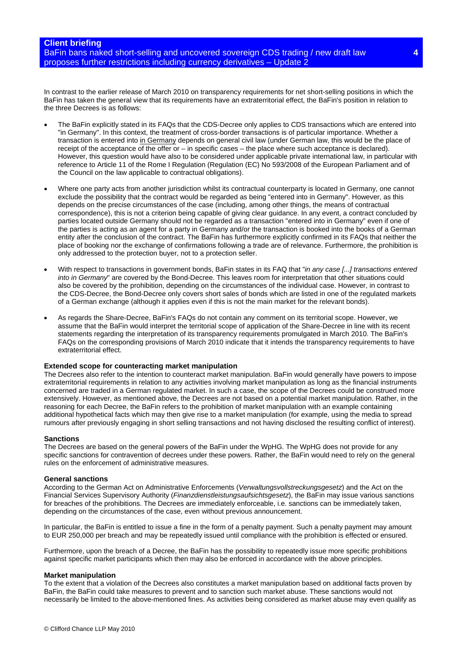# **Client briefing**  BaFin bans naked short-selling and uncovered sovereign CDS trading / new draft law proposes further restrictions including currency derivatives – Update 2

In contrast to the earlier release of March 2010 on transparency requirements for net short-selling positions in which the BaFin has taken the general view that its requirements have an extraterritorial effect, the BaFin's position in relation to the three Decrees is as follows:

- The BaFin explicitly stated in its FAQs that the CDS-Decree only applies to CDS transactions which are entered into "in Germany". In this context, the treatment of cross-border transactions is of particular importance. Whether a transaction is entered into in Germany depends on general civil law (under German law, this would be the place of receipt of the acceptance of the offer or – in specific cases – the place where such acceptance is declared). However, this question would have also to be considered under applicable private international law, in particular with reference to Article 11 of the Rome I Regulation (Regulation (EC) No 593/2008 of the European Parliament and of the Council on the law applicable to contractual obligations).
- Where one party acts from another jurisdiction whilst its contractual counterparty is located in Germany, one cannot exclude the possibility that the contract would be regarded as being "entered into in Germany". However, as this depends on the precise circumstances of the case (including, among other things, the means of contractual correspondence), this is not a criterion being capable of giving clear guidance. In any event, a contract concluded by parties located outside Germany should not be regarded as a transaction "entered into in Germany" even if one of the parties is acting as an agent for a party in Germany and/or the transaction is booked into the books of a German entity after the conclusion of the contract. The BaFin has furthermore explicitly confirmed in its FAQs that neither the place of booking nor the exchange of confirmations following a trade are of relevance. Furthermore, the prohibition is only addressed to the protection buyer, not to a protection seller.
- With respect to transactions in government bonds, BaFin states in its FAQ that "*in any case [...] transactions entered into in Germany*" are covered by the Bond-Decree. This leaves room for interpretation that other situations could also be covered by the prohibition, depending on the circumstances of the individual case. However, in contrast to the CDS-Decree, the Bond-Decree only covers short sales of bonds which are listed in one of the regulated markets of a German exchange (although it applies even if this is not the main market for the relevant bonds).
- As regards the Share-Decree, BaFin's FAQs do not contain any comment on its territorial scope. However, we assume that the BaFin would interpret the territorial scope of application of the Share-Decree in line with its recent statements regarding the interpretation of its transparency requirements promulgated in March 2010. The BaFin's FAQs on the corresponding provisions of March 2010 indicate that it intends the transparency requirements to have extraterritorial effect.

# **Extended scope for counteracting market manipulation**

The Decrees also refer to the intention to counteract market manipulation. BaFin would generally have powers to impose extraterritorial requirements in relation to any activities involving market manipulation as long as the financial instruments concerned are traded in a German regulated market. In such a case, the scope of the Decrees could be construed more extensively. However, as mentioned above, the Decrees are not based on a potential market manipulation. Rather, in the reasoning for each Decree, the BaFin refers to the prohibition of market manipulation with an example containing additional hypothetical facts which may then give rise to a market manipulation (for example, using the media to spread rumours after previously engaging in short selling transactions and not having disclosed the resulting conflict of interest).

# **Sanctions**

The Decrees are based on the general powers of the BaFin under the WpHG. The WpHG does not provide for any specific sanctions for contravention of decrees under these powers. Rather, the BaFin would need to rely on the general rules on the enforcement of administrative measures.

# **General sanctions**

According to the German Act on Administrative Enforcements (*Verwaltungsvollstreckungsgesetz*) and the Act on the Financial Services Supervisory Authority (*Finanzdienstleistungsaufsichtsgesetz*), the BaFin may issue various sanctions for breaches of the prohibitions. The Decrees are immediately enforceable, i.e. sanctions can be immediately taken, depending on the circumstances of the case, even without previous announcement.

In particular, the BaFin is entitled to issue a fine in the form of a penalty payment. Such a penalty payment may amount to EUR 250,000 per breach and may be repeatedly issued until compliance with the prohibition is effected or ensured.

Furthermore, upon the breach of a Decree, the BaFin has the possibility to repeatedly issue more specific prohibitions against specific market participants which then may also be enforced in accordance with the above principles.

### **Market manipulation**

To the extent that a violation of the Decrees also constitutes a market manipulation based on additional facts proven by BaFin, the BaFin could take measures to prevent and to sanction such market abuse. These sanctions would not necessarily be limited to the above-mentioned fines. As activities being considered as market abuse may even qualify as